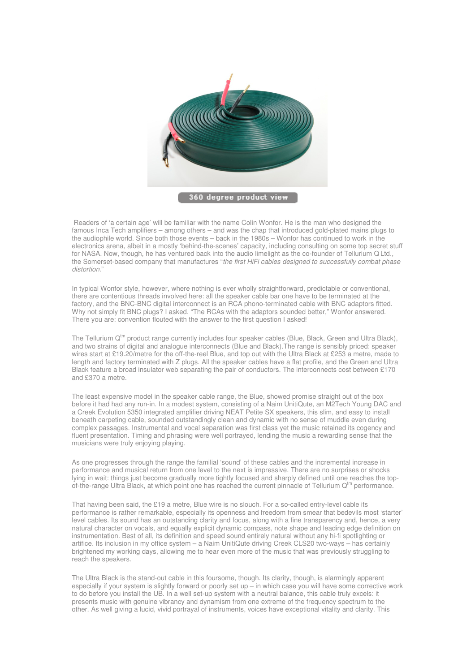

360 degree product view

 Readers of 'a certain age' will be familiar with the name Colin Wonfor. He is the man who designed the famous Inca Tech amplifiers – among others – and was the chap that introduced gold-plated mains plugs to the audiophile world. Since both those events – back in the 1980s – Wonfor has continued to work in the electronics arena, albeit in a mostly 'behind-the-scenes' capacity, including consulting on some top secret stuff for NASA. Now, though, he has ventured back into the audio limelight as the co-founder of Tellurium Q Ltd., the Somerset-based company that manufactures "the first HiFi cables designed to successfully combat phase distortion."

In typical Wonfor style, however, where nothing is ever wholly straightforward, predictable or conventional, there are contentious threads involved here: all the speaker cable bar one have to be terminated at the factory, and the BNC-BNC digital interconnect is an RCA phono-terminated cable with BNC adaptors fitted. Why not simply fit BNC plugs? I asked. "The RCAs with the adaptors sounded better," Wonfor answered. There you are: convention flouted with the answer to the first question I asked!

The Tellurium  $Q^{tm}$  product range currently includes four speaker cables (Blue, Black, Green and Ultra Black), and two strains of digital and analogue interconnects (Blue and Black).The range is sensibly priced: speaker wires start at £19.20/metre for the off-the-reel Blue, and top out with the Ultra Black at £253 a metre, made to length and factory terminated with Z plugs. All the speaker cables have a flat profile, and the Green and Ultra Black feature a broad insulator web separating the pair of conductors. The interconnects cost between £170 and £370 a metre.

The least expensive model in the speaker cable range, the Blue, showed promise straight out of the box before it had had any run-in. In a modest system, consisting of a Naim UnitiQute, an M2Tech Young DAC and a Creek Evolution 5350 integrated amplifier driving NEAT Petite SX speakers, this slim, and easy to install beneath carpeting cable, sounded outstandingly clean and dynamic with no sense of muddle even during complex passages. Instrumental and vocal separation was first class yet the music retained its cogency and fluent presentation. Timing and phrasing were well portrayed, lending the music a rewarding sense that the musicians were truly enjoying playing.

As one progresses through the range the familial 'sound' of these cables and the incremental increase in performance and musical return from one level to the next is impressive. There are no surprises or shocks lying in wait: things just become gradually more tightly focused and sharply defined until one reaches the topof-the-range Ultra Black, at which point one has reached the current pinnacle of Tellurium  $Q^{tm}$  performance.

That having been said, the £19 a metre, Blue wire is no slouch. For a so-called entry-level cable its performance is rather remarkable, especially its openness and freedom from smear that bedevils most 'starter' level cables. Its sound has an outstanding clarity and focus, along with a fine transparency and, hence, a very natural character on vocals, and equally explicit dynamic compass, note shape and leading edge definition on instrumentation. Best of all, its definition and speed sound entirely natural without any hi-fi spotlighting or artifice. Its inclusion in my office system – a Naim UnitiQute driving Creek CLS20 two-ways – has certainly brightened my working days, allowing me to hear even more of the music that was previously struggling to reach the speakers.

The Ultra Black is the stand-out cable in this foursome, though. Its clarity, though, is alarmingly apparent especially if your system is slightly forward or poorly set up – in which case you will have some corrective work to do before you install the UB. In a well set-up system with a neutral balance, this cable truly excels: it presents music with genuine vibrancy and dynamism from one extreme of the frequency spectrum to the other. As well giving a lucid, vivid portrayal of instruments, voices have exceptional vitality and clarity. This